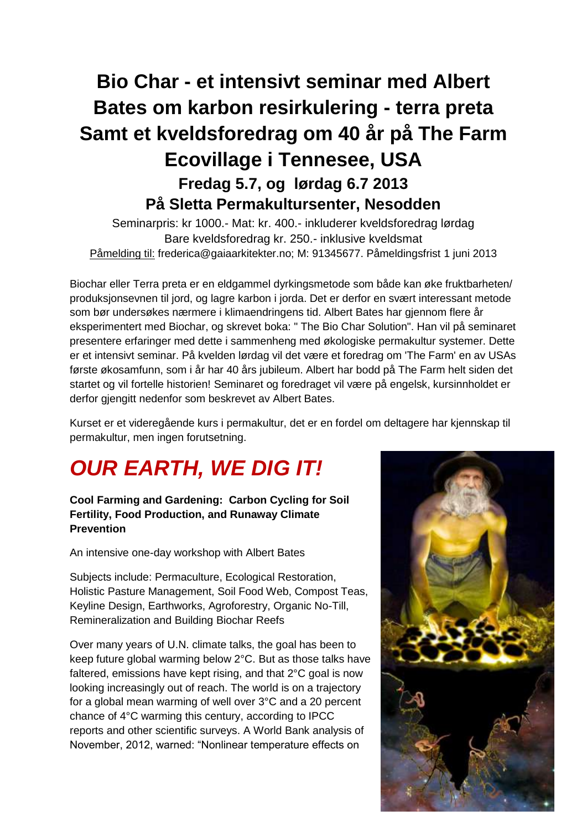# **Bio Char - et intensivt seminar med Albert Bates om karbon resirkulering - terra preta Samt et kveldsforedrag om 40 år på The Farm Ecovillage i Tennesee, USA Fredag 5.7, og lørdag 6.7 2013 På Sletta Permakultursenter, Nesodden**

Seminarpris: kr 1000.- Mat: kr. 400.- inkluderer kveldsforedrag lørdag Bare kveldsforedrag kr. 250.- inklusive kveldsmat Påmelding til: frederica@gaiaarkitekter.no; M: 91345677. Påmeldingsfrist 1 juni 2013

Biochar eller Terra preta er en eldgammel dyrkingsmetode som både kan øke fruktbarheten/ produksjonsevnen til jord, og lagre karbon i jorda. Det er derfor en svært interessant metode som bør undersøkes nærmere i klimaendringens tid. Albert Bates har gjennom flere år eksperimentert med Biochar, og skrevet boka: " The Bio Char Solution". Han vil på seminaret presentere erfaringer med dette i sammenheng med økologiske permakultur systemer. Dette er et intensivt seminar. På kvelden lørdag vil det være et foredrag om 'The Farm' en av USAs første økosamfunn, som i år har 40 års jubileum. Albert har bodd på The Farm helt siden det startet og vil fortelle historien! Seminaret og foredraget vil være på engelsk, kursinnholdet er derfor gjengitt nedenfor som beskrevet av Albert Bates.

Kurset er et videregående kurs i permakultur, det er en fordel om deltagere har kjennskap til permakultur, men ingen forutsetning.

# *OUR EARTH, WE DIG IT!*

**Cool Farming and Gardening: Carbon Cycling for Soil Fertility, Food Production, and Runaway Climate Prevention**

An intensive one-day workshop with Albert Bates

Subjects include: Permaculture, Ecological Restoration, Holistic Pasture Management, Soil Food Web, Compost Teas, Keyline Design, Earthworks, Agroforestry, Organic No-Till, Remineralization and Building Biochar Reefs

Over many years of U.N. climate talks, the goal has been to keep future global warming below 2°C. But as those talks have faltered, emissions have kept rising, and that 2°C goal is now looking increasingly out of reach. The world is on a trajectory for a global mean warming of well over 3°C and a 20 percent chance of 4°C warming this century, according to IPCC reports and other scientific surveys. A World Bank analysis of November, 2012, warned: "Nonlinear temperature effects on

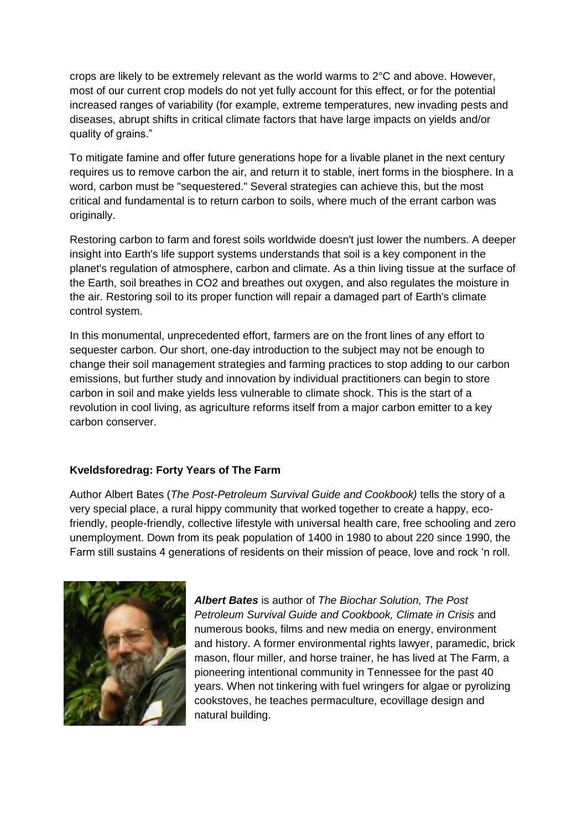crops are likely to be extremely relevant as the world warms to 2°C and above. However, most of our current crop models do not yet fully account for this effect, or for the potential increased ranges of variability (for example, extreme temperatures, new invading pests and diseases, abrupt shifts in critical climate factors that have large impacts on yields and/or quality of grains."

To mitigate famine and offer future generations hope for a livable planet in the next century requires us to remove carbon the air, and return it to stable, inert forms in the biosphere. In a word, carbon must be "sequestered." Several strategies can achieve this, but the most critical and fundamental is to return carbon to soils, where much of the errant carbon was originally.

Restoring carbon to farm and forest soils worldwide doesn't just lower the numbers. A deeper insight into Earth's life support systems understands that soil is a key component in the planet's regulation of atmosphere, carbon and climate. As a thin living tissue at the surface of the Earth, soil breathes in CO2 and breathes out oxygen, and also regulates the moisture in the air. Restoring soil to its proper function will repair a damaged part of Earth's climate control system.

In this monumental, unprecedented effort, farmers are on the front lines of any effort to sequester carbon. Our short, one-day introduction to the subject may not be enough to change their soil management strategies and farming practices to stop adding to our carbon emissions, but further study and innovation by individual practitioners can begin to store carbon in soil and make yields less vulnerable to climate shock. This is the start of a revolution in cool living, as agriculture reforms itself from a major carbon emitter to a key carbon conserver.

# **Kveldsforedrag: Forty Years of The Farm**

Author Albert Bates (*The Post-Petroleum Survival Guide and Cookbook)* tells the story of a very special place, a rural hippy community that worked together to create a happy, ecofriendly, people-friendly, collective lifestyle with universal health care, free schooling and zero unemployment. Down from its peak population of 1400 in 1980 to about 220 since 1990, the Farm still sustains 4 generations of residents on their mission of peace, love and rock 'n roll.



*Albert Bates* is author of *The Biochar Solution, The Post Petroleum Survival Guide and Cookbook, Climate in Crisis* and numerous books, films and new media on energy, environment and history. A former environmental rights lawyer, paramedic, brick mason, flour miller, and horse trainer, he has lived at The Farm, a pioneering intentional community in Tennessee for the past 40 years. When not tinkering with fuel wringers for algae or pyrolizing cookstoves, he teaches permaculture, ecovillage design and natural building.